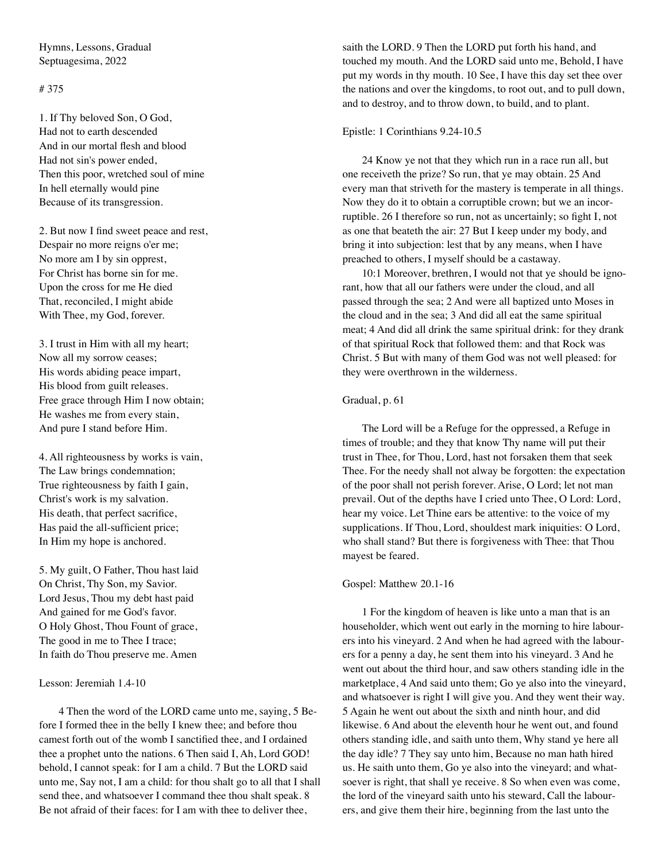Hymns, Lessons, Gradual Septuagesima, 2022

# # 375

1. If Thy beloved Son, O God, Had not to earth descended And in our mortal flesh and blood Had not sin's power ended, Then this poor, wretched soul of mine In hell eternally would pine Because of its transgression.

2. But now I find sweet peace and rest, Despair no more reigns o'er me; No more am I by sin opprest, For Christ has borne sin for me. Upon the cross for me He died That, reconciled, I might abide With Thee, my God, forever.

3. I trust in Him with all my heart; Now all my sorrow ceases; His words abiding peace impart, His blood from guilt releases. Free grace through Him I now obtain; He washes me from every stain, And pure I stand before Him.

4. All righteousness by works is vain, The Law brings condemnation; True righteousness by faith I gain, Christ's work is my salvation. His death, that perfect sacrifice, Has paid the all-sufficient price; In Him my hope is anchored.

5. My guilt, O Father, Thou hast laid On Christ, Thy Son, my Savior. Lord Jesus, Thou my debt hast paid And gained for me God's favor. O Holy Ghost, Thou Fount of grace, The good in me to Thee I trace; In faith do Thou preserve me. Amen

Lesson: Jeremiah 1.4-10

4 Then the word of the LORD came unto me, saying, 5 Before I formed thee in the belly I knew thee; and before thou camest forth out of the womb I sanctified thee, and I ordained thee a prophet unto the nations. 6 Then said I, Ah, Lord GOD! behold, I cannot speak: for I am a child. 7 But the LORD said unto me, Say not, I am a child: for thou shalt go to all that I shall send thee, and whatsoever I command thee thou shalt speak. 8 Be not afraid of their faces: for I am with thee to deliver thee,

saith the LORD. 9 Then the LORD put forth his hand, and touched my mouth. And the LORD said unto me, Behold, I have put my words in thy mouth. 10 See, I have this day set thee over the nations and over the kingdoms, to root out, and to pull down, and to destroy, and to throw down, to build, and to plant.

#### Epistle: 1 Corinthians 9.24-10.5

24 Know ye not that they which run in a race run all, but one receiveth the prize? So run, that ye may obtain. 25 And every man that striveth for the mastery is temperate in all things. Now they do it to obtain a corruptible crown; but we an incorruptible. 26 I therefore so run, not as uncertainly; so fight I, not as one that beateth the air: 27 But I keep under my body, and bring it into subjection: lest that by any means, when I have preached to others, I myself should be a castaway.

10:1 Moreover, brethren, I would not that ye should be ignorant, how that all our fathers were under the cloud, and all passed through the sea; 2 And were all baptized unto Moses in the cloud and in the sea; 3 And did all eat the same spiritual meat; 4 And did all drink the same spiritual drink: for they drank of that spiritual Rock that followed them: and that Rock was Christ. 5 But with many of them God was not well pleased: for they were overthrown in the wilderness.

## Gradual, p. 61

The Lord will be a Refuge for the oppressed, a Refuge in times of trouble; and they that know Thy name will put their trust in Thee, for Thou, Lord, hast not forsaken them that seek Thee. For the needy shall not alway be forgotten: the expectation of the poor shall not perish forever. Arise, O Lord; let not man prevail. Out of the depths have I cried unto Thee, O Lord: Lord, hear my voice. Let Thine ears be attentive: to the voice of my supplications. If Thou, Lord, shouldest mark iniquities: O Lord, who shall stand? But there is forgiveness with Thee: that Thou mayest be feared.

#### Gospel: Matthew 20.1-16

1 For the kingdom of heaven is like unto a man that is an householder, which went out early in the morning to hire labourers into his vineyard. 2 And when he had agreed with the labourers for a penny a day, he sent them into his vineyard. 3 And he went out about the third hour, and saw others standing idle in the marketplace, 4 And said unto them; Go ye also into the vineyard, and whatsoever is right I will give you. And they went their way. 5 Again he went out about the sixth and ninth hour, and did likewise. 6 And about the eleventh hour he went out, and found others standing idle, and saith unto them, Why stand ye here all the day idle? 7 They say unto him, Because no man hath hired us. He saith unto them, Go ye also into the vineyard; and whatsoever is right, that shall ye receive. 8 So when even was come, the lord of the vineyard saith unto his steward, Call the labourers, and give them their hire, beginning from the last unto the